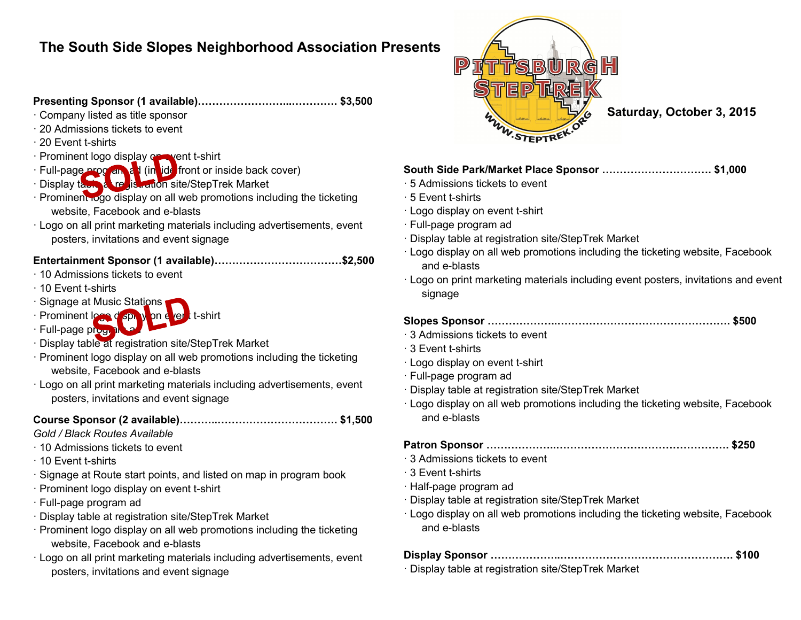# **The South Side Slopes Neighborhood Association Presents**

# **Presenting Sponsor (1 available)……………………...…………. \$3,500**

#### · Company listed as title sponsor

- · 20 Admissions tickets to event
- · 20 Event t-shirts

### · Prominent logo display on went t-shirt

- · Full-page program ad (in ide front or inside back cover)
- · Display table at registration site/StepTrek Market
- · Prominent logo display on all web promotions including the ticketing website, Facebook and e-blasts
- · Logo on all print marketing materials including advertisements, event posters, invitations and event signage

# **Entertainment Sponsor (1 available)………………………………\$2,500**

- · 10 Admissions tickets to event
- · 10 Event t-shirts
- · Signage at Music Stations
- · Prominent logo display on event t-shirt
- · Full-page progr
- · Display table at registration site/StepTrek Market
- · Prominent logo display on all web promotions including the ticketing website, Facebook and e-blasts
- · Logo on all print marketing materials including advertisements, event posters, invitations and event signage

# **Course Sponsor (2 available)………..……………………………. \$1,500**

### *Gold / Black Routes Available*

- · 10 Admissions tickets to event
- · 10 Event t-shirts
- · Signage at Route start points, and listed on map in program book
- · Prominent logo display on event t-shirt
- · Full-page program ad
- · Display table at registration site/StepTrek Market
- · Prominent logo display on all web promotions including the ticketing website, Facebook and e-blasts
- · Logo on all print marketing materials including advertisements, event posters, invitations and event signage



**Saturday, October 3, 2015**

## **South Side Park/Market Place Sponsor …………………………. \$1,000**

- · 5 Admissions tickets to event
- · 5 Event t-shirts
- · Logo display on event t-shirt
- · Full-page program ad
- · Display table at registration site/StepTrek Market
- · Logo display on all web promotions including the ticketing website, Facebook and e-blasts
- · Logo on print marketing materials including event posters, invitations and event signage

## **Slopes Sponsor ………………..…………………………………………. \$500**

- · 3 Admissions tickets to event
- · 3 Event t-shirts
- · Logo display on event t-shirt
- · Full-page program ad
- · Display table at registration site/StepTrek Market
- · Logo display on all web promotions including the ticketing website, Facebook and e-blasts
- **Patron Sponsor ………………..…………………………………………. \$250**
- · 3 Admissions tickets to event
- · 3 Event t-shirts
- · Half-page program ad
- · Display table at registration site/StepTrek Market
- · Logo display on all web promotions including the ticketing website, Facebook and e-blasts

| · Display table at registration site/StepTrek Market |  |
|------------------------------------------------------|--|